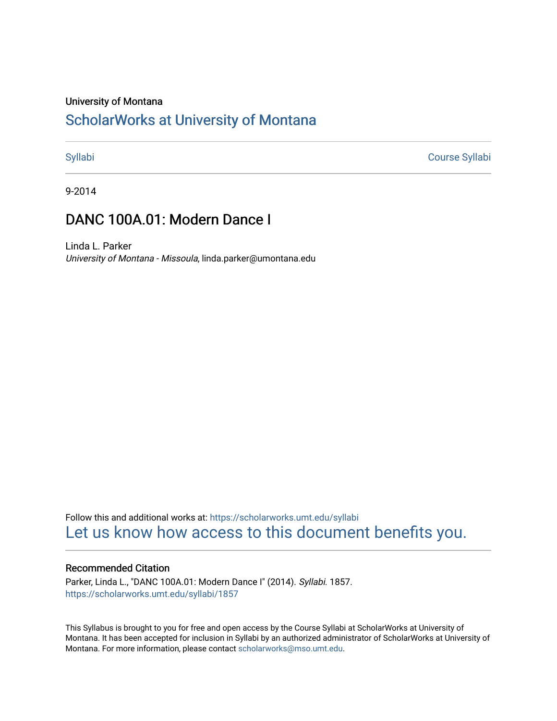# University of Montana

# [ScholarWorks at University of Montana](https://scholarworks.umt.edu/)

[Syllabi](https://scholarworks.umt.edu/syllabi) [Course Syllabi](https://scholarworks.umt.edu/course_syllabi) 

9-2014

# DANC 100A.01: Modern Dance I

Linda L. Parker University of Montana - Missoula, linda.parker@umontana.edu

Follow this and additional works at: [https://scholarworks.umt.edu/syllabi](https://scholarworks.umt.edu/syllabi?utm_source=scholarworks.umt.edu%2Fsyllabi%2F1857&utm_medium=PDF&utm_campaign=PDFCoverPages)  [Let us know how access to this document benefits you.](https://goo.gl/forms/s2rGfXOLzz71qgsB2) 

# Recommended Citation

Parker, Linda L., "DANC 100A.01: Modern Dance I" (2014). Syllabi. 1857. [https://scholarworks.umt.edu/syllabi/1857](https://scholarworks.umt.edu/syllabi/1857?utm_source=scholarworks.umt.edu%2Fsyllabi%2F1857&utm_medium=PDF&utm_campaign=PDFCoverPages)

This Syllabus is brought to you for free and open access by the Course Syllabi at ScholarWorks at University of Montana. It has been accepted for inclusion in Syllabi by an authorized administrator of ScholarWorks at University of Montana. For more information, please contact [scholarworks@mso.umt.edu.](mailto:scholarworks@mso.umt.edu)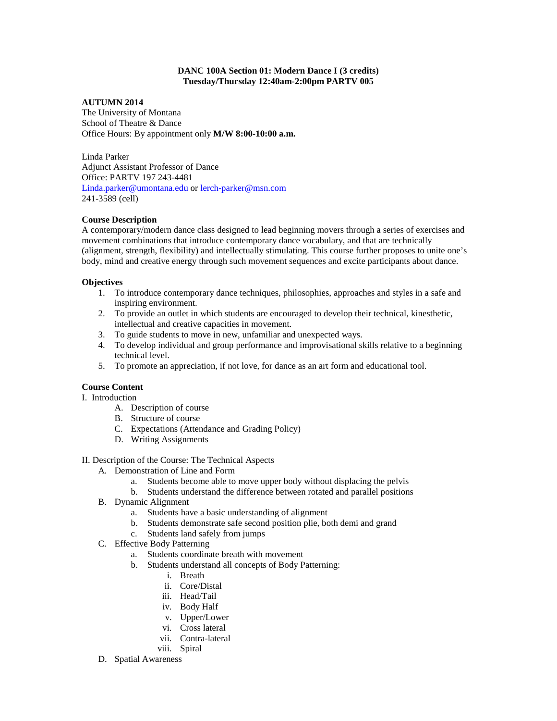# **DANC 100A Section 01: Modern Dance I (3 credits) Tuesday/Thursday 12:40am-2:00pm PARTV 005**

# **AUTUMN 2014**

The University of Montana School of Theatre & Dance Office Hours: By appointment only **M/W 8:00-10:00 a.m.**

Linda Parker Adjunct Assistant Professor of Dance Office: PARTV 197 243-4481 [Linda.parker@umontana.edu](mailto:Linda.parker@umontana.edu) or [lerch-parker@msn.com](mailto:lerch-parker@msn.com) 241-3589 (cell)

# **Course Description**

A contemporary/modern dance class designed to lead beginning movers through a series of exercises and movement combinations that introduce contemporary dance vocabulary, and that are technically (alignment, strength, flexibility) and intellectually stimulating. This course further proposes to unite one's body, mind and creative energy through such movement sequences and excite participants about dance.

### **Objectives**

- 1. To introduce contemporary dance techniques, philosophies, approaches and styles in a safe and inspiring environment.
- 2. To provide an outlet in which students are encouraged to develop their technical, kinesthetic, intellectual and creative capacities in movement.
- 3. To guide students to move in new, unfamiliar and unexpected ways.
- 4. To develop individual and group performance and improvisational skills relative to a beginning technical level.
- 5. To promote an appreciation, if not love, for dance as an art form and educational tool.

# **Course Content**

- I. Introduction
	- A. Description of course
	- B. Structure of course
	- C. Expectations (Attendance and Grading Policy)
	- D. Writing Assignments
- II. Description of the Course: The Technical Aspects
	- A. Demonstration of Line and Form
		- a. Students become able to move upper body without displacing the pelvis
		- b. Students understand the difference between rotated and parallel positions
	- B. Dynamic Alignment
		- a. Students have a basic understanding of alignment
		- b. Students demonstrate safe second position plie, both demi and grand
		- c. Students land safely from jumps
	- C. Effective Body Patterning
		- a. Students coordinate breath with movement
		- b. Students understand all concepts of Body Patterning:
			- i. Breath
			- ii. Core/Distal
			- iii. Head/Tail
			- iv. Body Half
			- v. Upper/Lower
			- vi. Cross lateral
			- vii. Contra-lateral
			- viii. Spiral
	- D. Spatial Awareness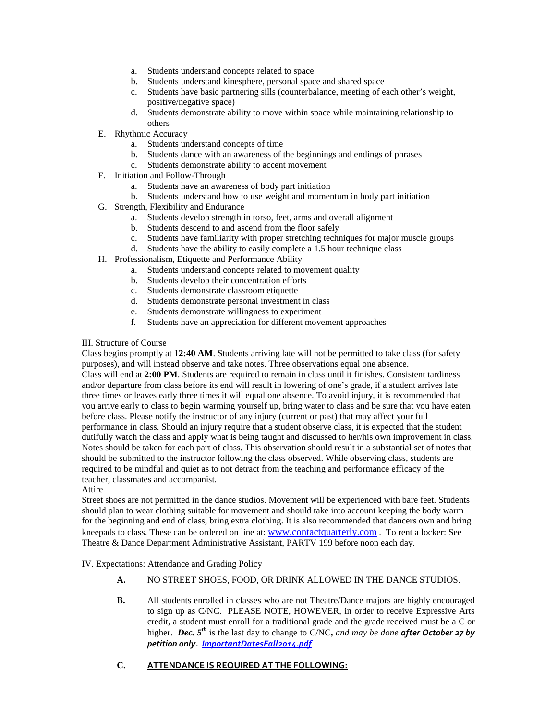- a. Students understand concepts related to space
- b. Students understand kinesphere, personal space and shared space
- c. Students have basic partnering sills (counterbalance, meeting of each other's weight, positive/negative space)
- d. Students demonstrate ability to move within space while maintaining relationship to others
- E. Rhythmic Accuracy
	- a. Students understand concepts of time
	- b. Students dance with an awareness of the beginnings and endings of phrases
	- c. Students demonstrate ability to accent movement
- F. Initiation and Follow-Through
	- a. Students have an awareness of body part initiation
	- b. Students understand how to use weight and momentum in body part initiation
- G. Strength, Flexibility and Endurance
	- a. Students develop strength in torso, feet, arms and overall alignment
	- b. Students descend to and ascend from the floor safely
	- c. Students have familiarity with proper stretching techniques for major muscle groups
	- d. Students have the ability to easily complete a 1.5 hour technique class
- H. Professionalism, Etiquette and Performance Ability
	- a. Students understand concepts related to movement quality
	- b. Students develop their concentration efforts
	- c. Students demonstrate classroom etiquette
	- d. Students demonstrate personal investment in class
	- e. Students demonstrate willingness to experiment
	- f. Students have an appreciation for different movement approaches

#### III. Structure of Course

Class begins promptly at **12:40 AM**. Students arriving late will not be permitted to take class (for safety purposes), and will instead observe and take notes. Three observations equal one absence. Class will end at **2:00 PM**. Students are required to remain in class until it finishes. Consistent tardiness

and/or departure from class before its end will result in lowering of one's grade, if a student arrives late three times or leaves early three times it will equal one absence. To avoid injury, it is recommended that you arrive early to class to begin warming yourself up, bring water to class and be sure that you have eaten before class. Please notify the instructor of any injury (current or past) that may affect your full performance in class. Should an injury require that a student observe class, it is expected that the student dutifully watch the class and apply what is being taught and discussed to her/his own improvement in class. Notes should be taken for each part of class. This observation should result in a substantial set of notes that should be submitted to the instructor following the class observed. While observing class, students are required to be mindful and quiet as to not detract from the teaching and performance efficacy of the teacher, classmates and accompanist.

# Attire

Street shoes are not permitted in the dance studios. Movement will be experienced with bare feet. Students should plan to wear clothing suitable for movement and should take into account keeping the body warm for the beginning and end of class, bring extra clothing. It is also recommended that dancers own and bring kneepads to class. These can be ordered on line at[: www.contactquarterly.com](http://www.contactquarterly.com/) . To rent a locker: See Theatre & Dance Department Administrative Assistant, PARTV 199 before noon each day.

IV. Expectations: Attendance and Grading Policy

- **A.** NO STREET SHOES, FOOD, OR DRINK ALLOWED IN THE DANCE STUDIOS.
- **B.** All students enrolled in classes who are not Theatre/Dance majors are highly encouraged to sign up as C/NC. PLEASE NOTE, HOWEVER, in order to receive Expressive Arts credit, a student must enroll for a traditional grade and the grade received must be a C or higher. *Dec. 5th* is the last day to change to C/NC**,** *and may be done after October 27 by petition only. [ImportantDatesFall2014.pdf](http://www.umt.edu/registrar/PDF/ImportantDatesFall2014.pdf)*

# **C. ATTENDANCE IS REQUIRED AT THE FOLLOWING:**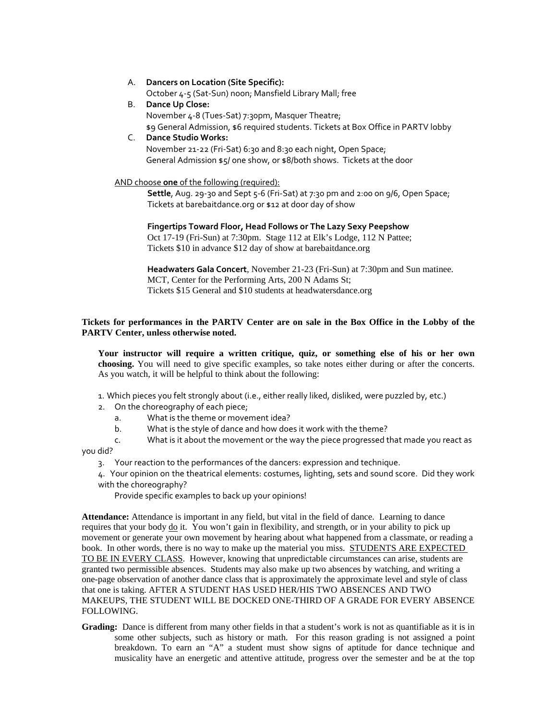#### A. **Dancers on Location (Site Specific):** October 4-5 (Sat-Sun) noon; Mansfield Library Mall; free

B. **Dance Up Close:** November 4-8 (Tues-Sat) 7:30pm, Masquer Theatre;

\$9 General Admission, \$6 required students. Tickets at Box Office in PARTV lobby

# C. **Dance Studio Works:** November 21-22 (Fri-Sat) 6:30 and 8:30 each night, Open Space; General Admission \$5/ one show, or \$8/both shows. Tickets at the door

# AND choose **one** of the following (required):

**Settle**, Aug. 29-30 and Sept 5-6 (Fri-Sat) at 7:30 pm and 2:00 on 9/6, Open Space; Tickets at barebaitdance.org or \$12 at door day of show

**Fingertips Toward Floor, Head Follows or The Lazy Sexy Peepshow** Oct 17-19 (Fri-Sun) at 7:30pm. Stage 112 at Elk's Lodge, 112 N Pattee; Tickets \$10 in advance \$12 day of show at barebaitdance.org

**Headwaters Gala Concert***,* November 21-23 (Fri-Sun) at 7:30pm and Sun matinee. MCT, Center for the Performing Arts, 200 N Adams St; Tickets \$15 General and \$10 students at headwatersdance.org

# **Tickets for performances in the PARTV Center are on sale in the Box Office in the Lobby of the PARTV Center, unless otherwise noted.**

**Your instructor will require a written critique, quiz, or something else of his or her own choosing.** You will need to give specific examples, so take notes either during or after the concerts. As you watch, it will be helpful to think about the following:

1. Which pieces you felt strongly about (i.e., either really liked, disliked, were puzzled by, etc.)

- 2. On the choreography of each piece;
	- a. What is the theme or movement idea?
	- b. What is the style of dance and how does it work with the theme?

c. What is it about the movement or the way the piece progressed that made you react as

you did?

3. Your reaction to the performances of the dancers: expression and technique.

4. Your opinion on the theatrical elements: costumes, lighting, sets and sound score. Did they work with the choreography?

Provide specific examples to back up your opinions!

**Attendance:** Attendance is important in any field, but vital in the field of dance. Learning to dance requires that your body do it. You won't gain in flexibility, and strength, or in your ability to pick up movement or generate your own movement by hearing about what happened from a classmate, or reading a book. In other words, there is no way to make up the material you miss. STUDENTS ARE EXPECTED TO BE IN EVERY CLASS. However, knowing that unpredictable circumstances can arise, students are granted two permissible absences. Students may also make up two absences by watching, and writing a one-page observation of another dance class that is approximately the approximate level and style of class that one is taking. AFTER A STUDENT HAS USED HER/HIS TWO ABSENCES AND TWO MAKEUPS, THE STUDENT WILL BE DOCKED ONE-THIRD OF A GRADE FOR EVERY ABSENCE FOLLOWING.

**Grading:** Dance is different from many other fields in that a student's work is not as quantifiable as it is in some other subjects, such as history or math. For this reason grading is not assigned a point breakdown. To earn an "A" a student must show signs of aptitude for dance technique and musicality have an energetic and attentive attitude, progress over the semester and be at the top